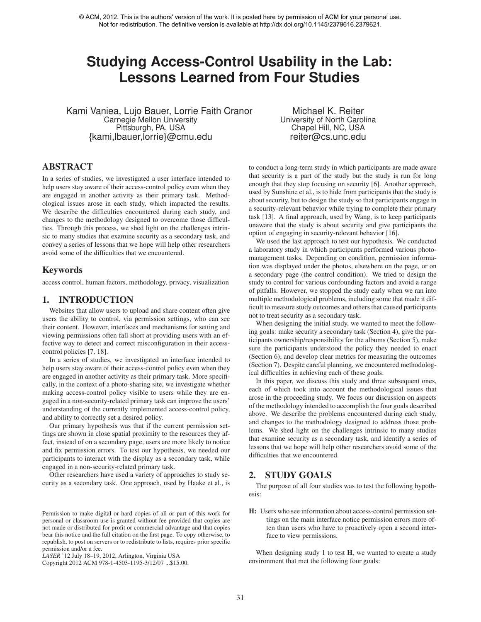# **Studying Access-Control Usability in the Lab: Lessons Learned from Four Studies**

Kami Vaniea, Lujo Bauer, Lorrie Faith Cranor Carnegie Mellon University Pittsburgh, PA, USA {kami,lbauer,lorrie}@cmu.edu

Michael K. Reiter University of North Carolina Chapel Hill, NC, USA reiter@cs.unc.edu

## ABSTRACT

In a series of studies, we investigated a user interface intended to help users stay aware of their access-control policy even when they are engaged in another activity as their primary task. Methodological issues arose in each study, which impacted the results. We describe the difficulties encountered during each study, and changes to the methodology designed to overcome those difficulties. Through this process, we shed light on the challenges intrinsic to many studies that examine security as a secondary task, and convey a series of lessons that we hope will help other researchers avoid some of the difficulties that we encountered.

#### Keywords

access control, human factors, methodology, privacy, visualization

#### 1. INTRODUCTION

Websites that allow users to upload and share content often give users the ability to control, via permission settings, who can see their content. However, interfaces and mechanisms for setting and viewing permissions often fall short at providing users with an effective way to detect and correct misconfiguration in their accesscontrol policies [7, 18].

In a series of studies, we investigated an interface intended to help users stay aware of their access-control policy even when they are engaged in another activity as their primary task. More specifically, in the context of a photo-sharing site, we investigate whether making access-control policy visible to users while they are engaged in a non-security-related primary task can improve the users' understanding of the currently implemented access-control policy, and ability to correctly set a desired policy.

Our primary hypothesis was that if the current permission settings are shown in close spatial proximity to the resources they affect, instead of on a secondary page, users are more likely to notice and fix permission errors. To test our hypothesis, we needed our participants to interact with the display as a secondary task, while engaged in a non-security-related primary task.

Other researchers have used a variety of approaches to study security as a secondary task. One approach, used by Haake et al., is to conduct a long-term study in which participants are made aware that security is a part of the study but the study is run for long enough that they stop focusing on security [6]. Another approach, used by Sunshine et al., is to hide from participants that the study is about security, but to design the study so that participants engage in a security-relevant behavior while trying to complete their primary task [13]. A final approach, used by Wang, is to keep participants unaware that the study is about security and give participants the option of engaging in security-relevant behavior [16].

We used the last approach to test our hypothesis. We conducted a laboratory study in which participants performed various photomanagement tasks. Depending on condition, permission information was displayed under the photos, elsewhere on the page, or on a secondary page (the control condition). We tried to design the study to control for various confounding factors and avoid a range of pitfalls. However, we stopped the study early when we ran into multiple methodological problems, including some that made it difficult to measure study outcomes and others that caused participants not to treat security as a secondary task.

When designing the initial study, we wanted to meet the following goals: make security a secondary task (Section 4), give the participants ownership/responsibility for the albums (Section 5), make sure the participants understood the policy they needed to enact (Section 6), and develop clear metrics for measuring the outcomes (Section 7). Despite careful planning, we encountered methodological difficulties in achieving each of these goals.

In this paper, we discuss this study and three subsequent ones, each of which took into account the methodological issues that arose in the proceeding study. We focus our discussion on aspects of the methodology intended to accomplish the four goals described above. We describe the problems encountered during each study, and changes to the methodology designed to address those problems. We shed light on the challenges intrinsic to many studies that examine security as a secondary task, and identify a series of lessons that we hope will help other researchers avoid some of the difficulties that we encountered.

# 2. STUDY GOALS

The purpose of all four studies was to test the following hypothesis:

H: Users who see information about access-control permission settings on the main interface notice permission errors more often than users who have to proactively open a second interface to view permissions.

When designing study 1 to test H, we wanted to create a study environment that met the following four goals:

Permission to make digital or hard copies of all or part of this work for personal or classroom use is granted without fee provided that copies are not made or distributed for profit or commercial advantage and that copies bear this notice and the full citation on the first page. To copy otherwise, to republish, to post on servers or to redistribute to lists, requires prior specific permission and/or a fee.

*LASER* '12 July 18–19, 2012, Arlington, Virginia USA

Copyright 2012 ACM 978-1-4503-1195-3/12/07 ...\$15.00.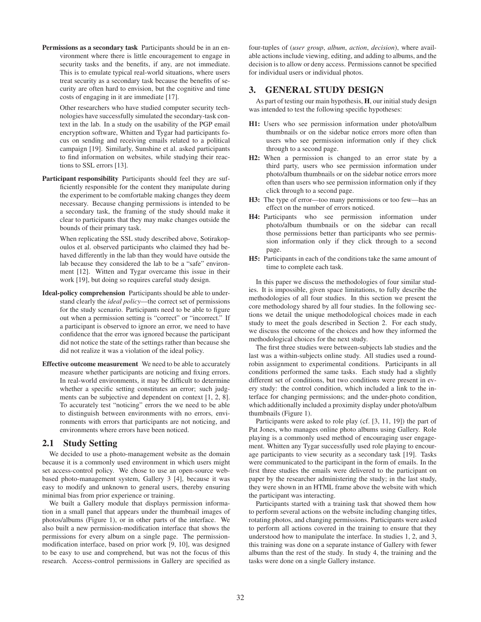Permissions as a secondary task Participants should be in an environment where there is little encouragement to engage in security tasks and the benefits, if any, are not immediate. This is to emulate typical real-world situations, where users treat security as a secondary task because the benefits of security are often hard to envision, but the cognitive and time costs of engaging in it are immediate [17].

Other researchers who have studied computer security technologies have successfully simulated the secondary-task context in the lab. In a study on the usability of the PGP email encryption software, Whitten and Tygar had participants focus on sending and receiving emails related to a political campaign [19]. Similarly, Sunshine et al. asked participants to find information on websites, while studying their reactions to SSL errors [13].

Participant responsibility Participants should feel they are sufficiently responsible for the content they manipulate during the experiment to be comfortable making changes they deem necessary. Because changing permissions is intended to be a secondary task, the framing of the study should make it clear to participants that they may make changes outside the bounds of their primary task.

When replicating the SSL study described above, Sotirakopoulos et al. observed participants who claimed they had behaved differently in the lab than they would have outside the lab because they considered the lab to be a "safe" environment [12]. Witten and Tygar overcame this issue in their work [19], but doing so requires careful study design.

- Ideal-policy comprehension Participants should be able to understand clearly the *ideal policy*—the correct set of permissions for the study scenario. Participants need to be able to figure out when a permission setting is "correct" or "incorrect." If a participant is observed to ignore an error, we need to have confidence that the error was ignored because the participant did not notice the state of the settings rather than because she did not realize it was a violation of the ideal policy.
- Effective outcome measurement We need to be able to accurately measure whether participants are noticing and fixing errors. In real-world environments, it may be difficult to determine whether a specific setting constitutes an error; such judgments can be subjective and dependent on context [1, 2, 8]. To accurately test "noticing" errors the we need to be able to distinguish between environments with no errors, environments with errors that participants are not noticing, and environments where errors have been noticed.

#### 2.1 Study Setting

We decided to use a photo-management website as the domain because it is a commonly used environment in which users might set access-control policy. We chose to use an open-source webbased photo-management system, Gallery 3 [4], because it was easy to modify and unknown to general users, thereby ensuring minimal bias from prior experience or training.

We built a Gallery module that displays permission information in a small panel that appears under the thumbnail images of photos/albums (Figure 1), or in other parts of the interface. We also built a new permission-modification interface that shows the permissions for every album on a single page. The permissionmodification interface, based on prior work [9, 10], was designed to be easy to use and comprehend, but was not the focus of this research. Access-control permissions in Gallery are specified as four-tuples of (*user group*, *album*, *action*, *decision*), where available actions include viewing, editing, and adding to albums, and the decision is to allow or deny access. Permissions cannot be specified for individual users or individual photos.

## 3. GENERAL STUDY DESIGN

As part of testing our main hypothesis, H, our initial study design was intended to test the following specific hypotheses:

- H1: Users who see permission information under photo/album thumbnails or on the sidebar notice errors more often than users who see permission information only if they click through to a second page.
- H2: When a permission is changed to an error state by a third party, users who see permission information under photo/album thumbnails or on the sidebar notice errors more often than users who see permission information only if they click through to a second page.
- H3: The type of error—too many permissions or too few—has an effect on the number of errors noticed.
- H4: Participants who see permission information under photo/album thumbnails or on the sidebar can recall those permissions better than participants who see permission information only if they click through to a second page.
- H5: Participants in each of the conditions take the same amount of time to complete each task.

In this paper we discuss the methodologies of four similar studies. It is impossible, given space limitations, to fully describe the methodologies of all four studies. In this section we present the core methodology shared by all four studies. In the following sections we detail the unique methodological choices made in each study to meet the goals described in Section 2. For each study, we discuss the outcome of the choices and how they informed the methodological choices for the next study.

The first three studies were between-subjects lab studies and the last was a within-subjects online study. All studies used a roundrobin assignment to experimental conditions. Participants in all conditions performed the same tasks. Each study had a slightly different set of conditions, but two conditions were present in every study: the control condition, which included a link to the interface for changing permissions; and the under-photo condition, which additionally included a proximity display under photo/album thumbnails (Figure 1).

Participants were asked to role play (cf. [3, 11, 19]) the part of Pat Jones, who manages online photo albums using Gallery. Role playing is a commonly used method of encouraging user engagement. Whitten any Tygar successfully used role playing to encourage participants to view security as a secondary task [19]. Tasks were communicated to the participant in the form of emails. In the first three studies the emails were delivered to the participant on paper by the researcher administering the study; in the last study, they were shown in an HTML frame above the website with which the participant was interacting.

Participants started with a training task that showed them how to perform several actions on the website including changing titles, rotating photos, and changing permissions. Participants were asked to perform all actions covered in the training to ensure that they understood how to manipulate the interface. In studies 1, 2, and 3, this training was done on a separate instance of Gallery with fewer albums than the rest of the study. In study 4, the training and the tasks were done on a single Gallery instance.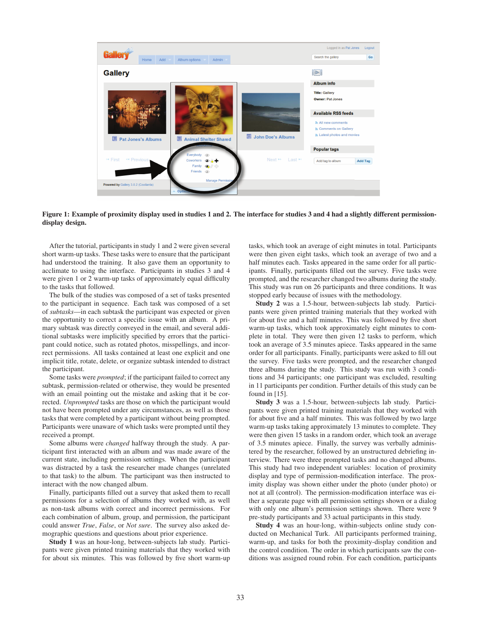

Figure 1: Example of proximity display used in studies 1 and 2. The interface for studies 3 and 4 had a slightly different permissiondisplay design.

After the tutorial, participants in study 1 and 2 were given several short warm-up tasks. These tasks were to ensure that the participant had understood the training. It also gave them an opportunity to acclimate to using the interface. Participants in studies 3 and 4 were given 1 or 2 warm-up tasks of approximately equal difficulty to the tasks that followed.

The bulk of the studies was composed of a set of tasks presented to the participant in sequence. Each task was composed of a set of *subtasks*—in each subtask the participant was expected or given the opportunity to correct a specific issue with an album. A primary subtask was directly conveyed in the email, and several additional subtasks were implicitly specified by errors that the participant could notice, such as rotated photos, misspellings, and incorrect permissions. All tasks contained at least one explicit and one implicit title, rotate, delete, or organize subtask intended to distract the participant.

Some tasks were *prompted*; if the participant failed to correct any subtask, permission-related or otherwise, they would be presented with an email pointing out the mistake and asking that it be corrected. *Unprompted* tasks are those on which the participant would not have been prompted under any circumstances, as well as those tasks that were completed by a participant without being prompted. Participants were unaware of which tasks were prompted until they received a prompt.

Some albums were *changed* halfway through the study. A participant first interacted with an album and was made aware of the current state, including permission settings. When the participant was distracted by a task the researcher made changes (unrelated to that task) to the album. The participant was then instructed to interact with the now changed album.

Finally, participants filled out a survey that asked them to recall permissions for a selection of albums they worked with, as well as non-task albums with correct and incorrect permissions. For each combination of album, group, and permission, the participant could answer *True*, *False*, or *Not sure*. The survey also asked demographic questions and questions about prior experience.

Study 1 was an hour-long, between-subjects lab study. Participants were given printed training materials that they worked with for about six minutes. This was followed by five short warm-up tasks, which took an average of eight minutes in total. Participants were then given eight tasks, which took an average of two and a half minutes each. Tasks appeared in the same order for all participants. Finally, participants filled out the survey. Five tasks were prompted, and the researcher changed two albums during the study. This study was run on 26 participants and three conditions. It was stopped early because of issues with the methodology.

Study 2 was a 1.5-hour, between-subjects lab study. Participants were given printed training materials that they worked with for about five and a half minutes. This was followed by five short warm-up tasks, which took approximately eight minutes to complete in total. They were then given 12 tasks to perform, which took an average of 3.5 minutes apiece. Tasks appeared in the same order for all participants. Finally, participants were asked to fill out the survey. Five tasks were prompted, and the researcher changed three albums during the study. This study was run with 3 conditions and 34 participants; one participant was excluded, resulting in 11 participants per condition. Further details of this study can be found in [15].

Study 3 was a 1.5-hour, between-subjects lab study. Participants were given printed training materials that they worked with for about five and a half minutes. This was followed by two large warm-up tasks taking approximately 13 minutes to complete. They were then given 15 tasks in a random order, which took an average of 3.5 minutes apiece. Finally, the survey was verbally administered by the researcher, followed by an unstructured debriefing interview. There were three prompted tasks and no changed albums. This study had two independent variables: location of proximity display and type of permission-modification interface. The proximity display was shown either under the photo (under photo) or not at all (control). The permission-modification interface was either a separate page with all permission settings shown or a dialog with only one album's permission settings shown. There were 9 pre-study participants and 33 actual participants in this study.

Study 4 was an hour-long, within-subjects online study conducted on Mechanical Turk. All participants performed training, warm-up, and tasks for both the proximity-display condition and the control condition. The order in which participants saw the conditions was assigned round robin. For each condition, participants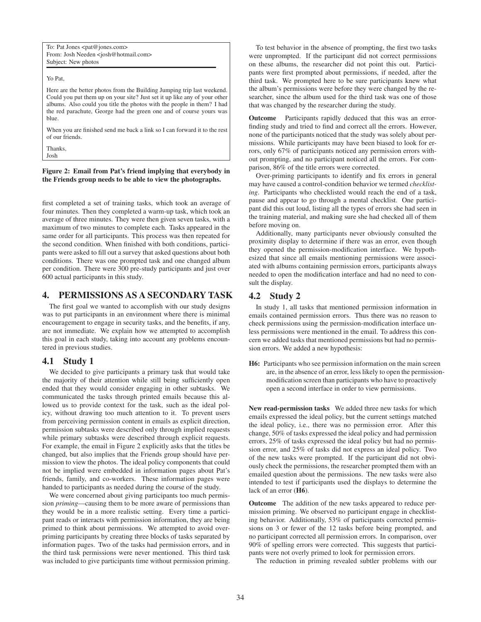| To: Pat Jones $\langle$ pat@jones.com>                  |
|---------------------------------------------------------|
| From: Josh Needen <josh@hotmail.com></josh@hotmail.com> |
| Subject: New photos                                     |
|                                                         |

Yo Pat,

Here are the better photos from the Building Jumping trip last weekend. Could you put them up on your site? Just set it up like any of your other albums. Also could you title the photos with the people in them? I had the red parachute, George had the green one and of course yours was blue.

When you are finished send me back a link so I can forward it to the rest of our friends.

Thanks, Josh

#### Figure 2: Email from Pat's friend implying that everybody in the Friends group needs to be able to view the photographs.

first completed a set of training tasks, which took an average of four minutes. Then they completed a warm-up task, which took an average of three minutes. They were then given seven tasks, with a maximum of two minutes to complete each. Tasks appeared in the same order for all participants. This process was then repeated for the second condition. When finished with both conditions, participants were asked to fill out a survey that asked questions about both conditions. There was one prompted task and one changed album per condition. There were 300 pre-study participants and just over 600 actual participants in this study.

## 4. PERMISSIONS AS A SECONDARY TASK

The first goal we wanted to accomplish with our study designs was to put participants in an environment where there is minimal encouragement to engage in security tasks, and the benefits, if any, are not immediate. We explain how we attempted to accomplish this goal in each study, taking into account any problems encountered in previous studies.

#### 4.1 Study 1

We decided to give participants a primary task that would take the majority of their attention while still being sufficiently open ended that they would consider engaging in other subtasks. We communicated the tasks through printed emails because this allowed us to provide context for the task, such as the ideal policy, without drawing too much attention to it. To prevent users from perceiving permission content in emails as explicit direction, permission subtasks were described only through implied requests while primary subtasks were described through explicit requests. For example, the email in Figure 2 explicitly asks that the titles be changed, but also implies that the Friends group should have permission to view the photos. The ideal policy components that could not be implied were embedded in information pages about Pat's friends, family, and co-workers. These information pages were handed to participants as needed during the course of the study.

We were concerned about giving participants too much permission *priming*—causing them to be more aware of permissions than they would be in a more realistic setting. Every time a participant reads or interacts with permission information, they are being primed to think about permissions. We attempted to avoid overpriming participants by creating three blocks of tasks separated by information pages. Two of the tasks had permission errors, and in the third task permissions were never mentioned. This third task was included to give participants time without permission priming.

To test behavior in the absence of prompting, the first two tasks were unprompted. If the participant did not correct permissions on these albums, the researcher did not point this out. Participants were first prompted about permissions, if needed, after the third task. We prompted here to be sure participants knew what the album's permissions were before they were changed by the researcher, since the album used for the third task was one of those that was changed by the researcher during the study.

Outcome Participants rapidly deduced that this was an errorfinding study and tried to find and correct all the errors. However, none of the participants noticed that the study was solely about permissions. While participants may have been biased to look for errors, only 67% of participants noticed any permission errors without prompting, and no participant noticed all the errors. For comparison, 86% of the title errors were corrected.

Over-priming participants to identify and fix errors in general may have caused a control-condition behavior we termed *checklisting*. Participants who checklisted would reach the end of a task, pause and appear to go through a mental checklist. One participant did this out loud, listing all the types of errors she had seen in the training material, and making sure she had checked all of them before moving on.

Additionally, many participants never obviously consulted the proximity display to determine if there was an error, even though they opened the permission-modification interface. We hypothesized that since all emails mentioning permissions were associated with albums containing permission errors, participants always needed to open the modification interface and had no need to consult the display.

# 4.2 Study 2

In study 1, all tasks that mentioned permission information in emails contained permission errors. Thus there was no reason to check permissions using the permission-modification interface unless permissions were mentioned in the email. To address this concern we added tasks that mentioned permissions but had no permission errors. We added a new hypothesis:

H6: Participants who see permission information on the main screen are, in the absence of an error, less likely to open the permissionmodification screen than participants who have to proactively open a second interface in order to view permissions.

New read-permission tasks We added three new tasks for which emails expressed the ideal policy, but the current settings matched the ideal policy, i.e., there was no permission error. After this change, 50% of tasks expressed the ideal policy and had permission errors, 25% of tasks expressed the ideal policy but had no permission error, and 25% of tasks did not express an ideal policy. Two of the new tasks were prompted. If the participant did not obviously check the permissions, the researcher prompted them with an emailed question about the permissions. The new tasks were also intended to test if participants used the displays to determine the lack of an error (H6).

Outcome The addition of the new tasks appeared to reduce permission priming. We observed no participant engage in checklisting behavior. Additionally, 53% of participants corrected permissions on 3 or fewer of the 12 tasks before being prompted, and no participant corrected all permission errors. In comparison, over 90% of spelling errors were corrected. This suggests that participants were not overly primed to look for permission errors.

The reduction in priming revealed subtler problems with our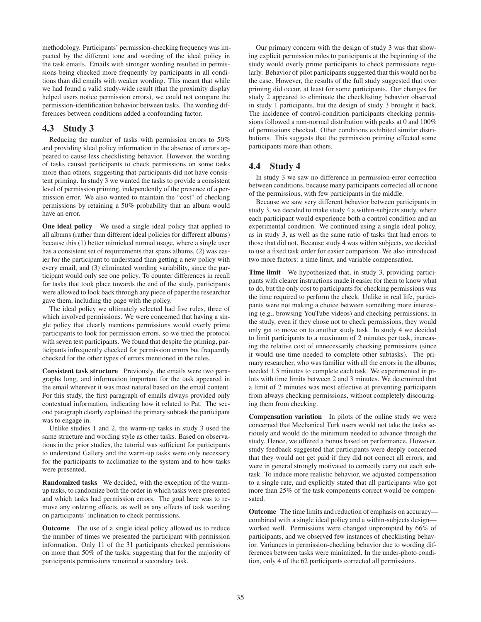methodology. Participants' permission-checking frequency was impacted by the different tone and wording of the ideal policy in the task emails. Emails with stronger wording resulted in permissions being checked more frequently by participants in all conditions than did emails with weaker wording. This meant that while we had found a valid study-wide result (that the proximity display helped users notice permission errors), we could not compare the permission-identification behavior between tasks. The wording differences between conditions added a confounding factor.

#### 4.3 Study 3

Reducing the number of tasks with permission errors to 50% and providing ideal policy information in the absence of errors appeared to cause less checklisting behavior. However, the wording of tasks caused participants to check permissions on some tasks more than others, suggesting that participants did not have consistent priming. In study 3 we wanted the tasks to provide a consistent level of permission priming, independently of the presence of a permission error. We also wanted to maintain the "cost" of checking permissions by retaining a 50% probability that an album would have an error.

**One ideal policy** We used a single ideal policy that applied to all albums (rather than different ideal policies for different albums) because this (1) better mimicked normal usage, where a single user has a consistent set of requirements that spans albums, (2) was easier for the participant to understand than getting a new policy with every email, and (3) eliminated wording variability, since the participant would only see one policy. To counter differences in recall for tasks that took place towards the end of the study, participants were allowed to look back through any piece of paper the researcher gave them, including the page with the policy.

The ideal policy we ultimately selected had five rules, three of which involved permissions. We were concerned that having a single policy that clearly mentions permissions would overly prime participants to look for permission errors, so we tried the protocol with seven test participants. We found that despite the priming, participants infrequently checked for permission errors but frequently checked for the other types of errors mentioned in the rules.

Consistent task structure Previously, the emails were two paragraphs long, and information important for the task appeared in the email wherever it was most natural based on the email content. For this study, the first paragraph of emails always provided only contextual information, indicating how it related to Pat. The second paragraph clearly explained the primary subtask the participant was to engage in.

Unlike studies 1 and 2, the warm-up tasks in study 3 used the same structure and wording style as other tasks. Based on observations in the prior studies, the tutorial was sufficient for participants to understand Gallery and the warm-up tasks were only necessary for the participants to acclimatize to the system and to how tasks were presented.

Randomized tasks We decided, with the exception of the warmup tasks, to randomize both the order in which tasks were presented and which tasks had permission errors. The goal here was to remove any ordering effects, as well as any effects of task wording on participants' inclination to check permissions.

Outcome The use of a single ideal policy allowed us to reduce the number of times we presented the participant with permission information. Only 11 of the 31 participants checked permissions on more than 50% of the tasks, suggesting that for the majority of participants permissions remained a secondary task.

Our primary concern with the design of study 3 was that showing explicit permission rules to participants at the beginning of the study would overly prime participants to check permissions regularly. Behavior of pilot participants suggested that this would not be the case. However, the results of the full study suggested that over priming did occur, at least for some participants. Our changes for study 2 appeared to eliminate the checklisting behavior observed in study 1 participants, but the design of study 3 brought it back. The incidence of control-condition participants checking permissions followed a non-normal distribution with peaks at 0 and 100% of permissions checked. Other conditions exhibited similar distributions. This suggests that the permission priming effected some participants more than others.

#### 4.4 Study 4

In study 3 we saw no difference in permission-error correction between conditions, because many participants corrected all or none of the permissions, with few participants in the middle.

Because we saw very different behavior between participants in study 3, we decided to make study 4 a within-subjects study, where each participant would experience both a control condition and an experimental condition. We continued using a single ideal policy, as in study 3, as well as the same ratio of tasks that had errors to those that did not. Because study 4 was within subjects, we decided to use a fixed task order for easier comparison. We also introduced two more factors: a time limit, and variable compensation.

Time limit We hypothesized that, in study 3, providing participants with clearer instructions made it easier for them to know what to do, but the only cost to participants for checking permissions was the time required to perform the check. Unlike in real life, participants were not making a choice between something more interesting (e.g., browsing YouTube videos) and checking permissions; in the study, even if they chose not to check permissions, they would only get to move on to another study task. In study 4 we decided to limit participants to a maximum of 2 minutes per task, increasing the relative cost of unnecessarily checking permissions (since it would use time needed to complete other subtasks). The primary researcher, who was familiar with all the errors in the albums, needed 1.5 minutes to complete each task. We experimented in pilots with time limits between 2 and 3 minutes. We determined that a limit of 2 minutes was most effective at preventing participants from always checking permissions, without completely discouraging them from checking.

Compensation variation In pilots of the online study we were concerned that Mechanical Turk users would not take the tasks seriously and would do the minimum needed to advance through the study. Hence, we offered a bonus based on performance. However, study feedback suggested that participants were deeply concerned that they would not get paid if they did not correct all errors, and were in general strongly motivated to correctly carry out each subtask. To induce more realistic behavior, we adjusted compensation to a single rate, and explicitly stated that all participants who got more than 25% of the task components correct would be compensated.

Outcome The time limits and reduction of emphasis on accuracy combined with a single ideal policy and a within-subjects design worked well. Permissions were changed unprompted by 66% of participants, and we observed few instances of checklisting behavior. Variances in permission-checking behavior due to wording differences between tasks were minimized. In the under-photo condition, only 4 of the 62 participants corrected all permissions.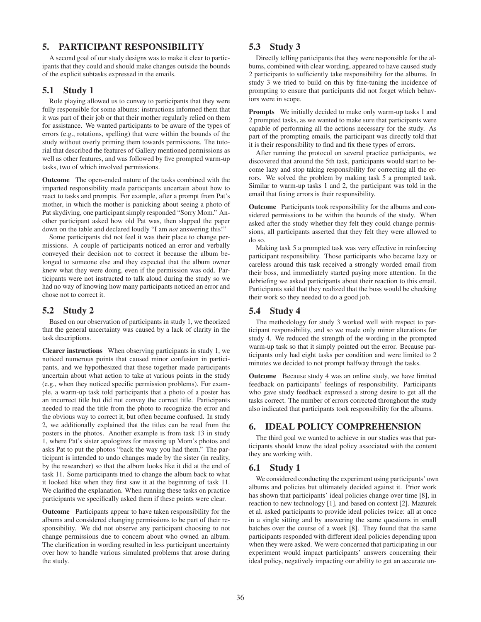## 5. PARTICIPANT RESPONSIBILITY

A second goal of our study designs was to make it clear to participants that they could and should make changes outside the bounds of the explicit subtasks expressed in the emails.

## 5.1 Study 1

Role playing allowed us to convey to participants that they were fully responsible for some albums: instructions informed them that it was part of their job or that their mother regularly relied on them for assistance. We wanted participants to be aware of the types of errors (e.g., rotations, spelling) that were within the bounds of the study without overly priming them towards permissions. The tutorial that described the features of Gallery mentioned permissions as well as other features, and was followed by five prompted warm-up tasks, two of which involved permissions.

Outcome The open-ended nature of the tasks combined with the imparted responsibility made participants uncertain about how to react to tasks and prompts. For example, after a prompt from Pat's mother, in which the mother is panicking about seeing a photo of Pat skydiving, one participant simply responded "Sorry Mom." Another participant asked how old Pat was, then slapped the paper down on the table and declared loudly "I am *not* answering this!"

Some participants did not feel it was their place to change permissions. A couple of participants noticed an error and verbally conveyed their decision not to correct it because the album belonged to someone else and they expected that the album owner knew what they were doing, even if the permission was odd. Participants were not instructed to talk aloud during the study so we had no way of knowing how many participants noticed an error and chose not to correct it.

## 5.2 Study 2

Based on our observation of participants in study 1, we theorized that the general uncertainty was caused by a lack of clarity in the task descriptions.

Clearer instructions When observing participants in study 1, we noticed numerous points that caused minor confusion in participants, and we hypothesized that these together made participants uncertain about what action to take at various points in the study (e.g., when they noticed specific permission problems). For example, a warm-up task told participants that a photo of a poster has an incorrect title but did not convey the correct title. Participants needed to read the title from the photo to recognize the error and the obvious way to correct it, but often became confused. In study 2, we additionally explained that the titles can be read from the posters in the photos. Another example is from task 13 in study 1, where Pat's sister apologizes for messing up Mom's photos and asks Pat to put the photos "back the way you had them." The participant is intended to undo changes made by the sister (in reality, by the researcher) so that the album looks like it did at the end of task 11. Some participants tried to change the album back to what it looked like when they first saw it at the beginning of task 11. We clarified the explanation. When running these tasks on practice participants we specifically asked them if these points were clear.

Outcome Participants appear to have taken responsibility for the albums and considered changing permissions to be part of their responsibility. We did not observe any participant choosing to not change permissions due to concern about who owned an album. The clarification in wording resulted in less participant uncertainty over how to handle various simulated problems that arose during the study.

## 5.3 Study 3

Directly telling participants that they were responsible for the albums, combined with clear wording, appeared to have caused study 2 participants to sufficiently take responsibility for the albums. In study 3 we tried to build on this by fine-tuning the incidence of prompting to ensure that participants did not forget which behaviors were in scope.

Prompts We initially decided to make only warm-up tasks 1 and 2 prompted tasks, as we wanted to make sure that participants were capable of performing all the actions necessary for the study. As part of the prompting emails, the participant was directly told that it is their responsibility to find and fix these types of errors.

After running the protocol on several practice participants, we discovered that around the 5th task, participants would start to become lazy and stop taking responsibility for correcting all the errors. We solved the problem by making task 5 a prompted task. Similar to warm-up tasks 1 and 2, the participant was told in the email that fixing errors is their responsibility.

Outcome Participants took responsibility for the albums and considered permissions to be within the bounds of the study. When asked after the study whether they felt they could change permissions, all participants asserted that they felt they were allowed to do so.

Making task 5 a prompted task was very effective in reinforcing participant responsibility. Those participants who became lazy or careless around this task received a strongly worded email from their boss, and immediately started paying more attention. In the debriefing we asked participants about their reaction to this email. Participants said that they realized that the boss would be checking their work so they needed to do a good job.

## 5.4 Study 4

The methodology for study 3 worked well with respect to participant responsibility, and so we made only minor alterations for study 4. We reduced the strength of the wording in the prompted warm-up task so that it simply pointed out the error. Because participants only had eight tasks per condition and were limited to 2 minutes we decided to not prompt halfway through the tasks.

Outcome Because study 4 was an online study, we have limited feedback on participants' feelings of responsibility. Participants who gave study feedback expressed a strong desire to get all the tasks correct. The number of errors corrected throughout the study also indicated that participants took responsibility for the albums.

#### 6. IDEAL POLICY COMPREHENSION

The third goal we wanted to achieve in our studies was that participants should know the ideal policy associated with the content they are working with.

#### 6.1 Study 1

We considered conducting the experiment using participants' own albums and policies but ultimately decided against it. Prior work has shown that participants' ideal policies change over time [8], in reaction to new technology [1], and based on context [2]. Mazurek et al. asked participants to provide ideal policies twice: all at once in a single sitting and by answering the same questions in small batches over the course of a week [8]. They found that the same participants responded with different ideal policies depending upon when they were asked. We were concerned that participating in our experiment would impact participants' answers concerning their ideal policy, negatively impacting our ability to get an accurate un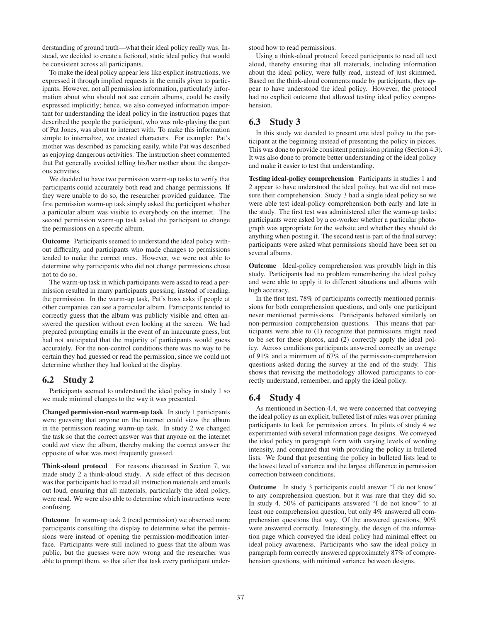derstanding of ground truth—what their ideal policy really was. Instead, we decided to create a fictional, static ideal policy that would be consistent across all participants.

To make the ideal policy appear less like explicit instructions, we expressed it through implied requests in the emails given to participants. However, not all permission information, particularly information about who should not see certain albums, could be easily expressed implicitly; hence, we also conveyed information important for understanding the ideal policy in the instruction pages that described the people the participant, who was role-playing the part of Pat Jones, was about to interact with. To make this information simple to internalize, we created characters. For example: Pat's mother was described as panicking easily, while Pat was described as enjoying dangerous activities. The instruction sheet commented that Pat generally avoided telling his/her mother about the dangerous activities.

We decided to have two permission warm-up tasks to verify that participants could accurately both read and change permissions. If they were unable to do so, the researcher provided guidance. The first permission warm-up task simply asked the participant whether a particular album was visible to everybody on the internet. The second permission warm-up task asked the participant to change the permissions on a specific album.

Outcome Participants seemed to understand the ideal policy without difficulty, and participants who made changes to permissions tended to make the correct ones. However, we were not able to determine why participants who did not change permissions chose not to do so.

The warm-up task in which participants were asked to read a permission resulted in many participants guessing, instead of reading, the permission. In the warm-up task, Pat's boss asks if people at other companies can see a particular album. Participants tended to correctly guess that the album was publicly visible and often answered the question without even looking at the screen. We had prepared prompting emails in the event of an inaccurate guess, but had not anticipated that the majority of participants would guess accurately. For the non-control conditions there was no way to be certain they had guessed or read the permission, since we could not determine whether they had looked at the display.

#### 6.2 Study 2

Participants seemed to understand the ideal policy in study 1 so we made minimal changes to the way it was presented.

Changed permission-read warm-up task In study 1 participants were guessing that anyone on the internet could view the album in the permission reading warm-up task. In study 2 we changed the task so that the correct answer was that anyone on the internet could *not* view the album, thereby making the correct answer the opposite of what was most frequently guessed.

Think-aloud protocol For reasons discussed in Section 7, we made study 2 a think-aloud study. A side effect of this decision was that participants had to read all instruction materials and emails out loud, ensuring that all materials, particularly the ideal policy, were read. We were also able to determine which instructions were confusing.

Outcome In warm-up task 2 (read permission) we observed more participants consulting the display to determine what the permissions were instead of opening the permission-modification interface. Participants were still inclined to guess that the album was public, but the guesses were now wrong and the researcher was able to prompt them, so that after that task every participant understood how to read permissions.

Using a think-aloud protocol forced participants to read all text aloud, thereby ensuring that all materials, including information about the ideal policy, were fully read, instead of just skimmed. Based on the think-aloud comments made by participants, they appear to have understood the ideal policy. However, the protocol had no explicit outcome that allowed testing ideal policy comprehension.

#### 6.3 Study 3

In this study we decided to present one ideal policy to the participant at the beginning instead of presenting the policy in pieces. This was done to provide consistent permission priming (Section 4.3). It was also done to promote better understanding of the ideal policy and make it easier to test that understanding.

Testing ideal-policy comprehension Participants in studies 1 and 2 appear to have understood the ideal policy, but we did not measure their comprehension. Study 3 had a single ideal policy so we were able test ideal-policy comprehension both early and late in the study. The first test was administered after the warm-up tasks: participants were asked by a co-worker whether a particular photograph was appropriate for the website and whether they should do anything when posting it. The second test is part of the final survey: participants were asked what permissions should have been set on several albums.

Outcome Ideal-policy comprehension was provably high in this study. Participants had no problem remembering the ideal policy and were able to apply it to different situations and albums with high accuracy.

In the first test, 78% of participants correctly mentioned permissions for both comprehension questions, and only one participant never mentioned permissions. Participants behaved similarly on non-permission comprehension questions. This means that participants were able to (1) recognize that permissions might need to be set for these photos, and (2) correctly apply the ideal policy. Across conditions participants answered correctly an average of 91% and a minimum of 67% of the permission-comprehension questions asked during the survey at the end of the study. This shows that revising the methodology allowed participants to correctly understand, remember, and apply the ideal policy.

#### 6.4 Study 4

As mentioned in Section 4.4, we were concerned that conveying the ideal policy as an explicit, bulleted list of rules was over priming participants to look for permission errors. In pilots of study 4 we experimented with several information page designs. We conveyed the ideal policy in paragraph form with varying levels of wording intensity, and compared that with providing the policy in bulleted lists. We found that presenting the policy in bulleted lists lead to the lowest level of variance and the largest difference in permission correction between conditions.

Outcome In study 3 participants could answer "I do not know" to any comprehension question, but it was rare that they did so. In study 4, 50% of participants answered "I do not know" to at least one comprehension question, but only 4% answered all comprehension questions that way. Of the answered questions, 90% were answered correctly. Interestingly, the design of the information page which conveyed the ideal policy had minimal effect on ideal policy awareness. Participants who saw the ideal policy in paragraph form correctly answered approximately 87% of comprehension questions, with minimal variance between designs.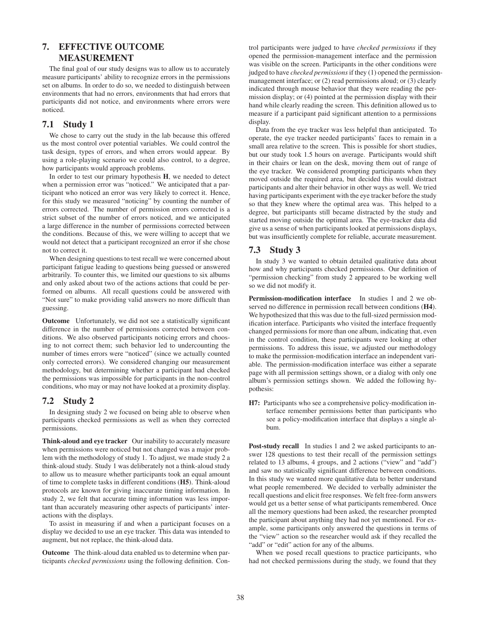# 7. EFFECTIVE OUTCOME MEASUREMENT

The final goal of our study designs was to allow us to accurately measure participants' ability to recognize errors in the permissions set on albums. In order to do so, we needed to distinguish between environments that had no errors, environments that had errors that participants did not notice, and environments where errors were noticed.

#### 7.1 Study 1

We chose to carry out the study in the lab because this offered us the most control over potential variables. We could control the task design, types of errors, and when errors would appear. By using a role-playing scenario we could also control, to a degree, how participants would approach problems.

In order to test our primary hypothesis H, we needed to detect when a permission error was "noticed." We anticipated that a participant who noticed an error was very likely to correct it. Hence, for this study we measured "noticing" by counting the number of errors corrected. The number of permission errors corrected is a strict subset of the number of errors noticed, and we anticipated a large difference in the number of permissions corrected between the conditions. Because of this, we were willing to accept that we would not detect that a participant recognized an error if she chose not to correct it.

When designing questions to test recall we were concerned about participant fatigue leading to questions being guessed or answered arbitrarily. To counter this, we limited our questions to six albums and only asked about two of the actions actions that could be performed on albums. All recall questions could be answered with "Not sure" to make providing valid answers no more difficult than guessing.

Outcome Unfortunately, we did not see a statistically significant difference in the number of permissions corrected between conditions. We also observed participants noticing errors and choosing to not correct them; such behavior led to undercounting the number of times errors were "noticed" (since we actually counted only corrected errors). We considered changing our measurement methodology, but determining whether a participant had checked the permissions was impossible for participants in the non-control conditions, who may or may not have looked at a proximity display.

#### 7.2 Study 2

In designing study 2 we focused on being able to observe when participants checked permissions as well as when they corrected permissions.

Think-aloud and eye tracker Our inability to accurately measure when permissions were noticed but not changed was a major problem with the methodology of study 1. To adjust, we made study 2 a think-aloud study. Study 1 was deliberately not a think-aloud study to allow us to measure whether participants took an equal amount of time to complete tasks in different conditions (H5). Think-aloud protocols are known for giving inaccurate timing information. In study 2, we felt that accurate timing information was less important than accurately measuring other aspects of participants' interactions with the displays.

To assist in measuring if and when a participant focuses on a display we decided to use an eye tracker. This data was intended to augment, but not replace, the think-aloud data.

Outcome The think-aloud data enabled us to determine when participants *checked permissions* using the following definition. Control participants were judged to have *checked permissions* if they opened the permission-management interface and the permission was visible on the screen. Participants in the other conditions were judged to have *checked permissions*if they (1) opened the permissionmanagement interface; or (2) read permissions aloud; or (3) clearly indicated through mouse behavior that they were reading the permission display; or (4) pointed at the permission display with their hand while clearly reading the screen. This definition allowed us to measure if a participant paid significant attention to a permissions display.

Data from the eye tracker was less helpful than anticipated. To operate, the eye tracker needed participants' faces to remain in a small area relative to the screen. This is possible for short studies, but our study took 1.5 hours on average. Participants would shift in their chairs or lean on the desk, moving them out of range of the eye tracker. We considered prompting participants when they moved outside the required area, but decided this would distract participants and alter their behavior in other ways as well. We tried having participants experiment with the eye tracker before the study so that they knew where the optimal area was. This helped to a degree, but participants still became distracted by the study and started moving outside the optimal area. The eye-tracker data did give us a sense of when participants looked at permissions displays, but was insufficiently complete for reliable, accurate measurement.

#### 7.3 Study 3

In study 3 we wanted to obtain detailed qualitative data about how and why participants checked permissions. Our definition of "permission checking" from study 2 appeared to be working well so we did not modify it.

Permission-modification interface In studies 1 and 2 we observed no difference in permission recall between conditions (H4). We hypothesized that this was due to the full-sized permission modification interface. Participants who visited the interface frequently changed permissions for more than one album, indicating that, even in the control condition, these participants were looking at other permissions. To address this issue, we adjusted our methodology to make the permission-modification interface an independent variable. The permission-modification interface was either a separate page with all permission settings shown, or a dialog with only one album's permission settings shown. We added the following hypothesis:

H7: Participants who see a comprehensive policy-modification interface remember permissions better than participants who see a policy-modification interface that displays a single album.

Post-study recall In studies 1 and 2 we asked participants to answer 128 questions to test their recall of the permission settings related to 13 albums, 4 groups, and 2 actions ("view" and "add") and saw no statistically significant difference between conditions. In this study we wanted more qualitative data to better understand what people remembered. We decided to verbally administer the recall questions and elicit free responses. We felt free-form answers would get us a better sense of what participants remembered. Once all the memory questions had been asked, the researcher prompted the participant about anything they had not yet mentioned. For example, some participants only answered the questions in terms of the "view" action so the researcher would ask if they recalled the "add" or "edit" action for any of the albums.

When we posed recall questions to practice participants, who had not checked permissions during the study, we found that they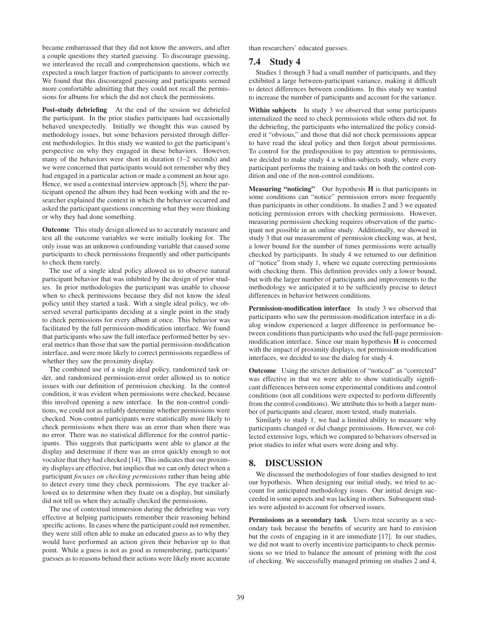became embarrassed that they did not know the answers, and after a couple questions they started guessing. To discourage guessing, we interleaved the recall and comprehension questions, which we expected a much larger fraction of participants to answer correctly. We found that this discouraged guessing and participants seemed more comfortable admitting that they could not recall the permissions for albums for which the did not check the permissions.

Post-study debriefing At the end of the session we debriefed the participant. In the prior studies participants had occasionally behaved unexpectedly. Initially we thought this was caused by methodology issues, but some behaviors persisted through different methodologies. In this study we wanted to get the participant's perspective on why they engaged in these behaviors. However, many of the behaviors were short in duration (1–2 seconds) and we were concerned that participants would not remember why they had engaged in a particular action or made a comment an hour ago. Hence, we used a contextual interview approach [5], where the participant opened the album they had been working with and the researcher explained the context in which the behavior occurred and asked the participant questions concerning what they were thinking or why they had done something.

Outcome This study design allowed us to accurately measure and test all the outcome variables we were initially looking for. The only issue was an unknown confounding variable that caused some participants to check permissions frequently and other participants to check them rarely.

The use of a single ideal policy allowed us to observe natural participant behavior that was inhibited by the design of prior studies. In prior methodologies the participant was unable to choose when to check permissions because they did not know the ideal policy until they started a task. With a single ideal policy, we observed several participants deciding at a single point in the study to check permissions for every album at once. This behavior was facilitated by the full permission-modification interface. We found that participants who saw the full interface performed better by several metrics than those that saw the partial permission-modification interface, and were more likely to correct permissions regardless of whether they saw the proximity display.

The combined use of a single ideal policy, randomized task order, and randomized permission-error order allowed us to notice issues with our definition of permission checking. In the control condition, it was evident when permissions were checked, because this involved opening a new interface. In the non-control conditions, we could not as reliably determine whether permissions were checked. Non-control participants were statistically more likely to check permissions when there was an error than when there was no error. There was no statistical difference for the control participants. This suggests that participants were able to glance at the display and determine if there was an error quickly enough to not vocalize that they had checked [14]. This indicates that our proximity displays are effective, but implies that we can only detect when a participant *focuses on checking permissions* rather than being able to detect every time they check permissions. The eye tracker allowed us to determine when they fixate on a display, but similarly did not tell us when they actually checked the permissions.

The use of contextual immersion during the debriefing was very effective at helping participants remember their reasoning behind specific actions. In cases where the participant could not remember, they were still often able to make an educated guess as to why they would have performed an action given their behavior up to that point. While a guess is not as good as remembering, participants' guesses as to reasons behind their actions were likely more accurate than researchers' educated guesses.

#### 7.4 Study 4

Studies 1 through 3 had a small number of participants, and they exhibited a large between-participant variance, making it difficult to detect differences between conditions. In this study we wanted to increase the number of participants and account for the variance.

Within subjects In study 3 we observed that some participants internalized the need to check permissions while others did not. In the debriefing, the participants who internalized the policy considered it "obvious," and those that did not check permissions appear to have read the ideal policy and then forgot about permissions. To control for the predisposition to pay attention to permissions, we decided to make study 4 a within-subjects study, where every participant performs the training and tasks on both the control condition and one of the non-control conditions.

Measuring "noticing" Our hypothesis H is that participants in some conditions can "notice" permission errors more frequently than participants in other conditions. In studies 2 and 3 we equated noticing permission errors with checking permissions. However, measuring permission checking requires observation of the participant not possible in an online study. Additionally, we showed in study 3 that our measurement of permission checking was, at best, a lower bound for the number of times permissions were actually checked by participants. In study 4 we returned to our definition of "notice" from study 1, where we equate correcting permissions with checking them. This definition provides only a lower bound, but with the larger number of participants and improvements to the methodology we anticipated it to be sufficiently precise to detect differences in behavior between conditions.

Permission-modification interface In study 3 we observed that participants who saw the permission-modification interface in a dialog window experienced a larger difference in performance between conditions than participants who used the full-page permissionmodification interface. Since our main hypothesis H is concerned with the impact of proximity displays, not permission-modification interfaces, we decided to use the dialog for study 4.

Outcome Using the stricter definition of "noticed" as "corrected" was effective in that we were able to show statistically significant differences between some experimental conditions and control conditions (not all conditions were expected to perform differently from the control conditions). We attribute this to both a larger number of participants and clearer, more tested, study materials.

Similarly to study 1, we had a limited ability to measure why participants changed or did change permissions. However, we collected extensive logs, which we compared to behaviors observed in prior studies to infer what users were doing and why.

#### 8. DISCUSSION

We discussed the methodologies of four studies designed to test our hypothesis. When designing our initial study, we tried to account for anticipated methodology issues. Our initial design succeeded in some aspects and was lacking in others. Subsequent studies were adjusted to account for observed issues.

Permissions as a secondary task Users treat security as a secondary task because the benefits of security are hard to envision but the costs of engaging in it are immediate [17]. In our studies, we did not want to overly incentivize participants to check permissions so we tried to balance the amount of priming with the cost of checking. We successfully managed priming on studies 2 and 4,